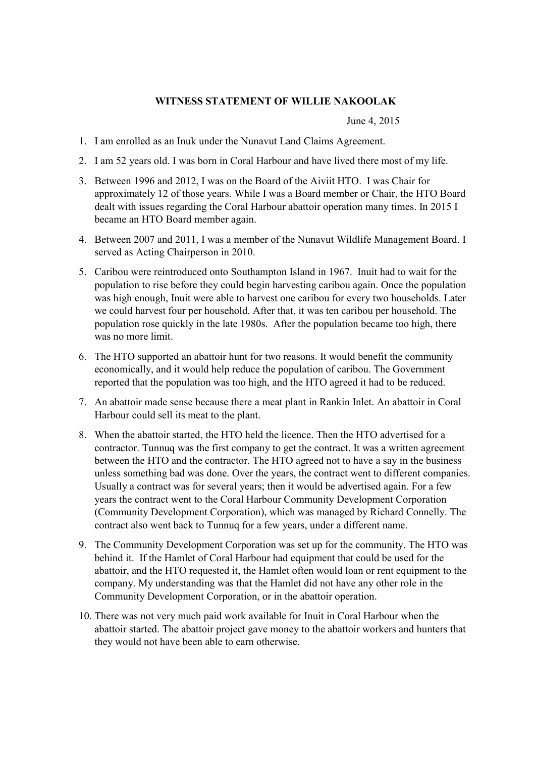## **WITNESS STATEMENT OF WILLIE NAKOOLAK**

June 4, 2015

- 1. I am enrolled as an Inuk under the Nunavut Land Claims Agreement.
- 2. I am 52 years old. I was born in Coral Harbour and have lived there most of my life.
- 3. Between 1996 and 2012, I was on the Board of the Aiviit HTO. I was Chair for approximately 12 of those years. While I was a Board member or Chair, the HTO Board dealt with issues regarding the Coral Harbour abattoir operation many times. In 2015 I became an HTO Board member again.
- 4. Between 2007 and 2011, I was a member of the Nunavut Wildlife Management Board. I served as Acting Chairperson in 2010.
- 5. Caribou were reintroduced onto Southampton Island in 1967. Inuit had to wait for the population to rise before they could begin harvesting caribou again. Once the population was high enough, Inuit were able to harvest one caribou for every two households. Later we could harvest four per household. After that, it was ten caribou per household. The population rose quickly in the late 1980s. After the population became too high, there was no more limit.
- 6. The HTO supported an abattoir hunt for two reasons. It would benefit the community economically, and it would help reduce the population of caribou. The Government reported that the population was too high, and the HTO agreed it had to be reduced.
- 7. An abattoir made sense because there a meat plant in Rankin Inlet. An abattoir in Coral Harbour could sell its meat to the plant.
- 8. When the abattoir started, the HTO held the licence. Then the HTO advertised for a contractor. Tunnuq was the first company to get the contract. It was a written agreement between the HTO and the contractor. The HTO agreed not to have a say in the business unless something bad was done. Over the years, the contract went to different companies. Usually a contract was for several years; then it would be advertised again. For a few years the contract went to the Coral Harbour Community Development Corporation (Community Development Corporation), which was managed by Richard Connelly. The contract also went back to Tunnuq for a few years, under a different name.
- 9. The Community Development Corporation was set up for the community. The HTO was behind it. If the Hamlet of Coral Harbour had equipment that could be used for the abattoir, and the HTO requested it, the Hamlet often would loan or rent equipment to the company. My understanding was that the Hamlet did not have any other role in the Community Development Corporation, or in the abattoir operation.
- 10. There was not very much paid work available for Inuit in Coral Harbour when the abattoir started. The abattoir project gave money to the abattoir workers and hunters that they would not have been able to earn otherwise.